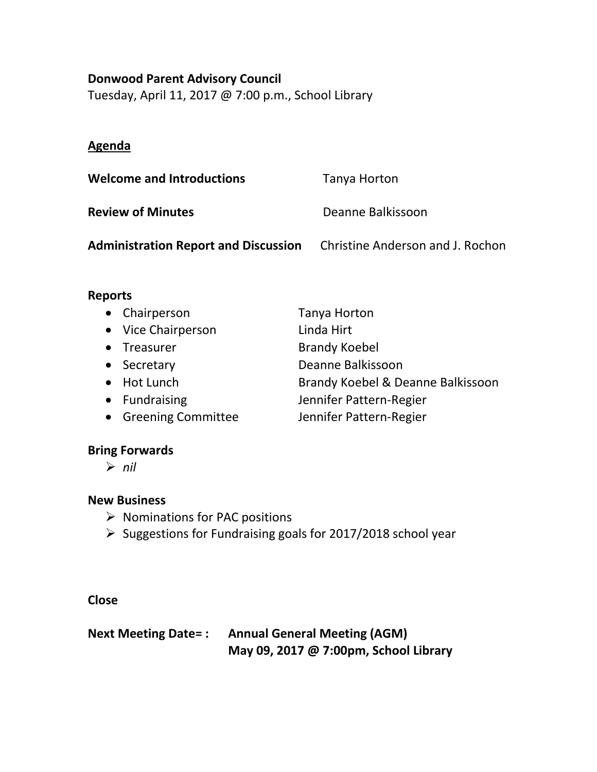### **Donwood Parent Advisory Council**

Tuesday, April 11, 2017 @ 7:00 p.m., School Library

## **Agenda**

| <b>Welcome and Introductions</b>            | Tanya Horton                     |
|---------------------------------------------|----------------------------------|
| <b>Review of Minutes</b>                    | Deanne Balkissoon                |
| <b>Administration Report and Discussion</b> | Christine Anderson and J. Rochon |

### **Reports**

| Brandy Koebel & Deanne Balkissoon |
|-----------------------------------|
|                                   |
|                                   |
|                                   |

#### **Bring Forwards**

*nil*

#### **New Business**

- $\triangleright$  Nominations for PAC positions
- $\triangleright$  Suggestions for Fundraising goals for 2017/2018 school year

## **Close**

## **Next Meeting Date= : Annual General Meeting (AGM) May 09, 2017 @ 7:00pm, School Library**